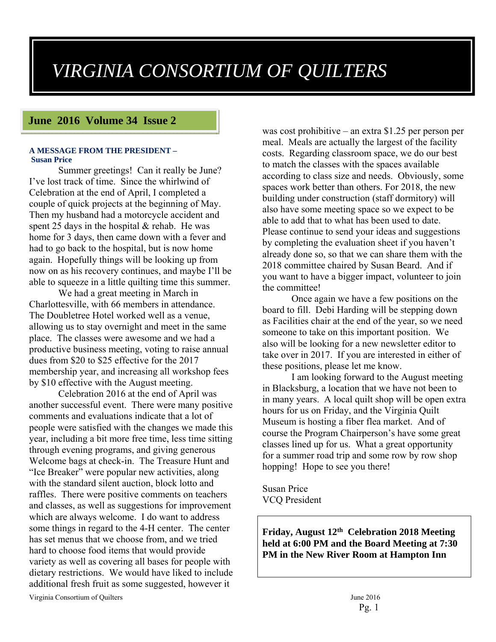# *VIRGINIA CONSORTIUM OF QUILTERS*

## **June 2016 Volume 34 Issue 2**

#### **A MESSAGE FROM THE PRESIDENT – Susan Price**

Summer greetings! Can it really be June? I've lost track of time. Since the whirlwind of Celebration at the end of April, I completed a couple of quick projects at the beginning of May. Then my husband had a motorcycle accident and spent 25 days in the hospital & rehab. He was home for 3 days, then came down with a fever and had to go back to the hospital, but is now home again. Hopefully things will be looking up from now on as his recovery continues, and maybe I'll be able to squeeze in a little quilting time this summer.

We had a great meeting in March in Charlottesville, with 66 members in attendance. The Doubletree Hotel worked well as a venue, allowing us to stay overnight and meet in the same place. The classes were awesome and we had a productive business meeting, voting to raise annual dues from \$20 to \$25 effective for the 2017 membership year, and increasing all workshop fees by \$10 effective with the August meeting.

Celebration 2016 at the end of April was another successful event. There were many positive comments and evaluations indicate that a lot of people were satisfied with the changes we made this year, including a bit more free time, less time sitting through evening programs, and giving generous Welcome bags at check-in. The Treasure Hunt and "Ice Breaker" were popular new activities, along with the standard silent auction, block lotto and raffles. There were positive comments on teachers and classes, as well as suggestions for improvement which are always welcome. I do want to address some things in regard to the 4-H center. The center has set menus that we choose from, and we tried hard to choose food items that would provide variety as well as covering all bases for people with dietary restrictions. We would have liked to include additional fresh fruit as some suggested, however it

was cost prohibitive – an extra \$1.25 per person per meal. Meals are actually the largest of the facility costs. Regarding classroom space, we do our best to match the classes with the spaces available according to class size and needs. Obviously, some spaces work better than others. For 2018, the new building under construction (staff dormitory) will also have some meeting space so we expect to be able to add that to what has been used to date. Please continue to send your ideas and suggestions by completing the evaluation sheet if you haven't already done so, so that we can share them with the 2018 committee chaired by Susan Beard. And if you want to have a bigger impact, volunteer to join the committee!

Once again we have a few positions on the board to fill. Debi Harding will be stepping down as Facilities chair at the end of the year, so we need someone to take on this important position. We also will be looking for a new newsletter editor to take over in 2017. If you are interested in either of these positions, please let me know.

I am looking forward to the August meeting in Blacksburg, a location that we have not been to in many years. A local quilt shop will be open extra hours for us on Friday, and the Virginia Quilt Museum is hosting a fiber flea market. And of course the Program Chairperson's have some great classes lined up for us. What a great opportunity for a summer road trip and some row by row shop hopping! Hope to see you there!

Susan Price VCQ President

**Friday, August 12th Celebration 2018 Meeting held at 6:00 PM and the Board Meeting at 7:30 PM in the New River Room at Hampton Inn**

Virginia Consortium of Quilters June 2016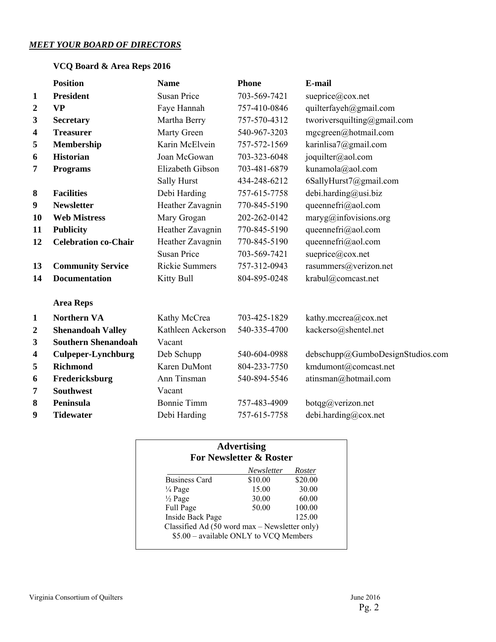## *MEET YOUR BOARD OF DIRECTORS*

## **VCQ Board & Area Reps 2016**

|                         | <b>Position</b>             | <b>Name</b>           | <b>Phone</b> | E-mail                           |
|-------------------------|-----------------------------|-----------------------|--------------|----------------------------------|
| $\mathbf{1}$            | <b>President</b>            | <b>Susan Price</b>    | 703-569-7421 | sueprice@cox.net                 |
| $\boldsymbol{2}$        | <b>VP</b>                   | Faye Hannah           | 757-410-0846 | quilterfayeh@gmail.com           |
| 3                       | <b>Secretary</b>            | Martha Berry          | 757-570-4312 | tworiversquilting@gmail.com      |
| 4                       | <b>Treasurer</b>            | Marty Green           | 540-967-3203 | mgcgreen@hotmail.com             |
| 5                       | <b>Membership</b>           | Karin McElvein        | 757-572-1569 | karinlisa7@gmail.com             |
| 6                       | <b>Historian</b>            | Joan McGowan          | 703-323-6048 | joquilter@aol.com                |
| 7                       | <b>Programs</b>             | Elizabeth Gibson      | 703-481-6879 | kunamola@aol.com                 |
|                         |                             | Sally Hurst           | 434-248-6212 | 6SallyHurst7@gmail.com           |
| $\bf{8}$                | <b>Facilities</b>           | Debi Harding          | 757-615-7758 | debi.harding@usi.biz             |
| $\boldsymbol{9}$        | <b>Newsletter</b>           | Heather Zavagnin      | 770-845-5190 | queennefri@aol.com               |
| 10                      | <b>Web Mistress</b>         | Mary Grogan           | 202-262-0142 | $maryg(\omega)$ infovisions.org  |
| 11                      | <b>Publicity</b>            | Heather Zavagnin      | 770-845-5190 | queennefri@aol.com               |
| 12                      | <b>Celebration co-Chair</b> | Heather Zavagnin      | 770-845-5190 | queennefri@aol.com               |
|                         |                             | <b>Susan Price</b>    | 703-569-7421 | sueprice@cox.net                 |
| 13                      | <b>Community Service</b>    | <b>Rickie Summers</b> | 757-312-0943 | rasummers@verizon.net            |
| 14                      | <b>Documentation</b>        | Kitty Bull            | 804-895-0248 | krabul@comcast.net               |
|                         | <b>Area Reps</b>            |                       |              |                                  |
| $\mathbf{1}$            | <b>Northern VA</b>          | Kathy McCrea          | 703-425-1829 | kathy.mccrea@cox.net             |
| $\boldsymbol{2}$        | <b>Shenandoah Valley</b>    | Kathleen Ackerson     | 540-335-4700 | kackerso@shentel.net             |
| 3                       | <b>Southern Shenandoah</b>  | Vacant                |              |                                  |
| $\overline{\mathbf{4}}$ | <b>Culpeper-Lynchburg</b>   | Deb Schupp            | 540-604-0988 | debschupp@GumboDesignStudios.com |
| 5                       | <b>Richmond</b>             | Karen DuMont          | 804-233-7750 | kmdumont@comcast.net             |
| 6                       | Fredericksburg              | Ann Tinsman           | 540-894-5546 | atinsman@hotmail.com             |
| 7                       | <b>Southwest</b>            | Vacant                |              |                                  |
| 8                       | <b>Peninsula</b>            | <b>Bonnie Timm</b>    | 757-483-4909 | botqg@verizon.net                |
| 9                       | <b>Tidewater</b>            | Debi Harding          | 757-615-7758 | debi.harding@cox.net             |
|                         |                             |                       |              |                                  |

## **Advertising For Newsletter & Roster**

|                                                                                         | <b>Newsletter</b> | Roster  |
|-----------------------------------------------------------------------------------------|-------------------|---------|
| <b>Business Card</b>                                                                    | \$10.00           | \$20.00 |
| $\frac{1}{4}$ Page                                                                      | 15.00             | 30.00   |
| $\frac{1}{2}$ Page                                                                      | 30.00             | 60.00   |
| Full Page                                                                               | 50.00             | 100.00  |
| Inside Back Page                                                                        |                   | 125.00  |
| Classified Ad (50 word max - Newsletter only)<br>\$5.00 - available ONLY to VCQ Members |                   |         |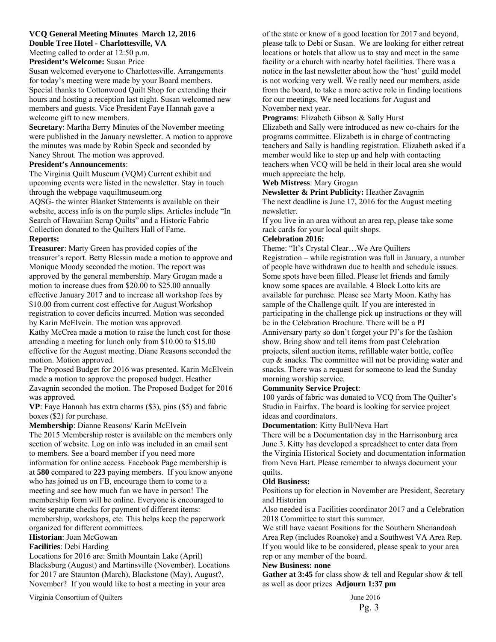## **VCQ General Meeting Minutes March 12, 2016**

**Double Tree Hotel - Charlottesville, VA** 

Meeting called to order at 12:50 p.m.

**President's Welcome:** Susan Price

Susan welcomed everyone to Charlottesville. Arrangements for today's meeting were made by your Board members. Special thanks to Cottonwood Quilt Shop for extending their hours and hosting a reception last night. Susan welcomed new members and guests. Vice President Faye Hannah gave a welcome gift to new members.

**Secretary**: Martha Berry Minutes of the November meeting were published in the January newsletter. A motion to approve the minutes was made by Robin Speck and seconded by Nancy Shrout. The motion was approved.

#### **President's Announcements**:

The Virginia Quilt Museum (VQM) Current exhibit and upcoming events were listed in the newsletter. Stay in touch through the webpage vaquiltmuseum.org

AQSG- the winter Blanket Statements is available on their website, access info is on the purple slips. Articles include "In Search of Hawaiian Scrap Quilts" and a Historic Fabric Collection donated to the Quilters Hall of Fame.

#### **Reports:**

**Treasurer**: Marty Green has provided copies of the treasurer's report. Betty Blessin made a motion to approve and Monique Moody seconded the motion. The report was approved by the general membership. Mary Grogan made a motion to increase dues from \$20.00 to \$25.00 annually effective January 2017 and to increase all workshop fees by \$10.00 from current cost effective for August Workshop registration to cover deficits incurred. Motion was seconded by Karin McElvein. The motion was approved.

Kathy McCrea made a motion to raise the lunch cost for those attending a meeting for lunch only from \$10.00 to \$15.00 effective for the August meeting. Diane Reasons seconded the motion. Motion approved.

The Proposed Budget for 2016 was presented. Karin McElvein made a motion to approve the proposed budget. Heather Zavagnin seconded the motion. The Proposed Budget for 2016 was approved.

**VP**: Faye Hannah has extra charms (\$3), pins (\$5) and fabric boxes (\$2) for purchase.

**Membership**: Dianne Reasons/ Karin McElvein

The 2015 Membership roster is available on the members only section of website. Log on info was included in an email sent to members. See a board member if you need more information for online access. Facebook Page membership is at **580** compared to **223** paying members. If you know anyone who has joined us on FB, encourage them to come to a meeting and see how much fun we have in person! The membership form will be online. Everyone is encouraged to write separate checks for payment of different items: membership, workshops, etc. This helps keep the paperwork organized for different committees.

**Historian**: Joan McGowan

#### **Facilities**: Debi Harding

Locations for 2016 are: Smith Mountain Lake (April) Blacksburg (August) and Martinsville (November). Locations for 2017 are Staunton (March), Blackstone (May), August?, November? If you would like to host a meeting in your area

Virginia Consortium of Quilters June 2016

of the state or know of a good location for 2017 and beyond, please talk to Debi or Susan. We are looking for either retreat locations or hotels that allow us to stay and meet in the same facility or a church with nearby hotel facilities. There was a notice in the last newsletter about how the 'host' guild model is not working very well. We really need our members, aside from the board, to take a more active role in finding locations for our meetings. We need locations for August and November next year.

#### **Programs**: Elizabeth Gibson & Sally Hurst

Elizabeth and Sally were introduced as new co-chairs for the programs committee. Elizabeth is in charge of contracting teachers and Sally is handling registration. Elizabeth asked if a member would like to step up and help with contacting teachers when VCQ will be held in their local area she would much appreciate the help.

#### **Web Mistress**: Mary Grogan

**Newsletter & Print Publicity:** Heather Zavagnin The next deadline is June 17, 2016 for the August meeting newsletter.

If you live in an area without an area rep, please take some rack cards for your local quilt shops.

#### **Celebration 2016:**

Theme: "It's Crystal Clear…We Are Quilters Registration – while registration was full in January, a number of people have withdrawn due to health and schedule issues. Some spots have been filled. Please let friends and family know some spaces are available. 4 Block Lotto kits are available for purchase. Please see Marty Moon. Kathy has sample of the Challenge quilt. If you are interested in participating in the challenge pick up instructions or they will be in the Celebration Brochure. There will be a PJ Anniversary party so don't forget your PJ's for the fashion show. Bring show and tell items from past Celebration projects, silent auction items, refillable water bottle, coffee cup & snacks. The committee will not be providing water and snacks. There was a request for someone to lead the Sunday morning worship service.

#### **Community Service Project**:

100 yards of fabric was donated to VCQ from The Quilter's Studio in Fairfax. The board is looking for service project ideas and coordinators.

#### **Documentation**: Kitty Bull/Neva Hart

There will be a Documentation day in the Harrisonburg area June 3. Kitty has developed a spreadsheet to enter data from the Virginia Historical Society and documentation information from Neva Hart. Please remember to always document your quilts.

#### **Old Business:**

Positions up for election in November are President, Secretary and Historian

Also needed is a Facilities coordinator 2017 and a Celebration 2018 Committee to start this summer.

We still have vacant Positions for the Southern Shenandoah Area Rep (includes Roanoke) and a Southwest VA Area Rep. If you would like to be considered, please speak to your area rep or any member of the board.

#### **New Business: none**

Gather at 3:45 for class show & tell and Regular show & tell as well as door prizes **Adjourn 1:37 pm**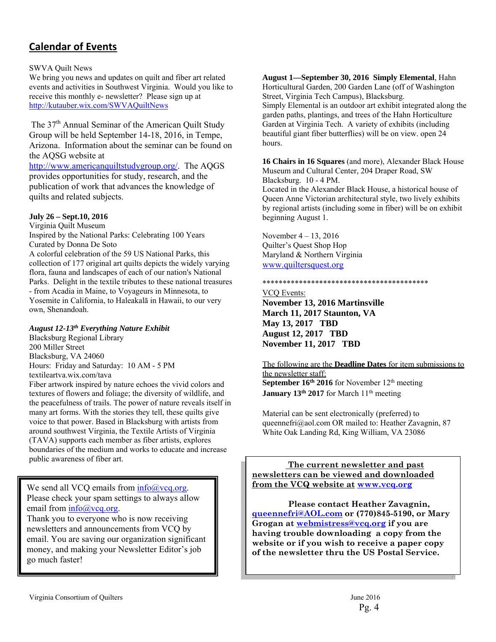## **Calendar of Events**

#### SWVA Quilt News

We bring you news and updates on quilt and fiber art related events and activities in Southwest Virginia. Would you like to receive this monthly e- newsletter? Please sign up at http://kutauber.wix.com/SWVAQuiltNews

The 37<sup>th</sup> Annual Seminar of the American Quilt Study Group will be held September 14-18, 2016, in Tempe, Arizona. Information about the seminar can be found on the AQSG website at

http://www.americanquiltstudygroup.org/. The AQGS provides opportunities for study, research, and the publication of work that advances the knowledge of quilts and related subjects.

#### **July 26 – Sept.10, 2016**

Virginia Quilt Museum Inspired by the National Parks: Celebrating 100 Years Curated by Donna De Soto A colorful celebration of the 59 US National Parks, this collection of 177 original art quilts depicts the widely varying flora, fauna and landscapes of each of our nation's National Parks. Delight in the textile tributes to these national treasures - from Acadia in Maine, to Voyageurs in Minnesota, to Yosemite in California, to Haleakalā in Hawaii, to our very own, Shenandoah.

#### *August 12-13th Everything Nature Exhibit*

Blacksburg Regional Library 200 Miller Street Blacksburg, VA 24060 Hours: Friday and Saturday: 10 AM - 5 PM textileartva.wix.com/tava

Fiber artwork inspired by nature echoes the vivid colors and textures of flowers and foliage; the diversity of wildlife, and the peacefulness of trails. The power of nature reveals itself in many art forms. With the stories they tell, these quilts give voice to that power. Based in Blacksburg with artists from around southwest Virginia, the Textile Artists of Virginia (TAVA) supports each member as fiber artists, explores boundaries of the medium and works to educate and increase public awareness of fiber art.

We send all VCO emails from  $info@veq.org$ . Please check your spam settings to always allow email from  $info@$  vcq.org.

Thank you to everyone who is now receiving newsletters and announcements from VCQ by email. You are saving our organization significant money, and making your Newsletter Editor's job go much faster!

**August 1—September 30, 2016 Simply Elemental**, Hahn Horticultural Garden, 200 Garden Lane (off of Washington Street, Virginia Tech Campus), Blacksburg.

Simply Elemental is an outdoor art exhibit integrated along the garden paths, plantings, and trees of the Hahn Horticulture Garden at Virginia Tech. A variety of exhibits (including beautiful giant fiber butterflies) will be on view. open 24 hours.

**16 Chairs in 16 Squares** (and more), Alexander Black House Museum and Cultural Center, 204 Draper Road, SW Blacksburg. 10 - 4 PM.

Located in the Alexander Black House, a historical house of Queen Anne Victorian architectural style, two lively exhibits by regional artists (including some in fiber) will be on exhibit beginning August 1.

November 4 – 13, 2016 Quilter's Quest Shop Hop Maryland & Northern Virginia www.quiltersquest.org

#### \*\*\*\*\*\*\*\*\*\*\*\*\*\*\*\*\*\*\*\*\*\*\*\*\*\*\*\*\*\*\*\*\*\*\*\*\*\*\*\*\*

VCQ Events: **November 13, 2016 Martinsville March 11, 2017 Staunton, VA May 13, 2017 TBD August 12, 2017 TBD November 11, 2017 TBD** 

The following are the **Deadline Dates** for item submissions to the newsletter staff: **September 16<sup>th</sup> 2016** for November 12<sup>th</sup> meeting **January 13<sup>th</sup> 2017** for March 11<sup>th</sup> meeting

Material can be sent electronically (preferred) to queennefri@aol.com OR mailed to: Heather Zavagnin, 87 White Oak Landing Rd, King William, VA 23086

 **The current newsletter and past newsletters can be viewed and downloaded from the VCQ website at www.vcq.org**

 **Please contact Heather Zavagnin, queennefri@AOL.com or (770)845-5190, or Mary Grogan at webmistress@vcq.org if you are having trouble downloading a copy from the website or if you wish to receive a paper copy of the newsletter thru the US Postal Service.**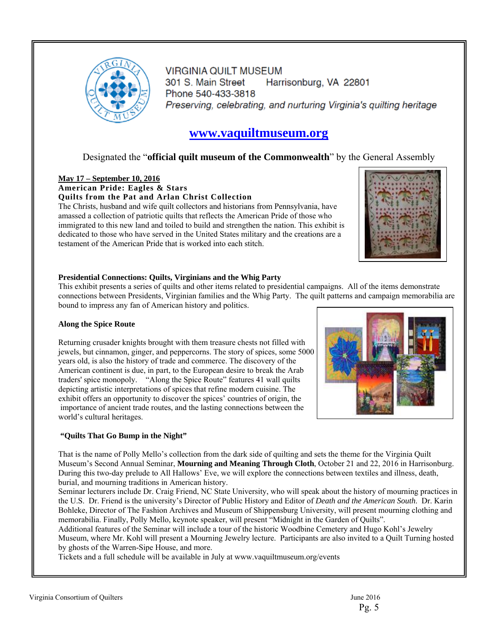

**VIRGINIA QUILT MUSEUM** 301 S. Main Street Harrisonburg, VA 22801 Phone 540-433-3818 Preserving, celebrating, and nurturing Virginia's quilting heritage

## **www.vaquiltmuseum.org**

## Designated the "**official quilt museum of the Commonwealth**" by the General Assembly

### **May 17 – September 10, 2016 American Pride: Eagles & Stars**

**Quilts from the Pat and Arlan Christ Collection**  The Christs, husband and wife quilt collectors and historians from Pennsylvania, have amassed a collection of patriotic quilts that reflects the American Pride of those who immigrated to this new land and toiled to build and strengthen the nation. This exhibit is dedicated to those who have served in the United States military and the creations are a testament of the American Pride that is worked into each stitch.



#### **Presidential Connections: Quilts, Virginians and the Whig Party**

This exhibit presents a series of quilts and other items related to presidential campaigns. All of the items demonstrate connections between Presidents, Virginian families and the Whig Party. The quilt patterns and campaign memorabilia are bound to impress any fan of American history and politics.

#### **Along the Spice Route**

Returning crusader knights brought with them treasure chests not filled with jewels, but cinnamon, ginger, and peppercorns. The story of spices, some 5000 years old, is also the history of trade and commerce. The discovery of the American continent is due, in part, to the European desire to break the Arab traders' spice monopoly. "Along the Spice Route" features 41 wall quilts depicting artistic interpretations of spices that refine modern cuisine. The exhibit offers an opportunity to discover the spices' countries of origin, the importance of ancient trade routes, and the lasting connections between the world's cultural heritages.



#### **"Quilts That Go Bump in the Night"**

That is the name of Polly Mello's collection from the dark side of quilting and sets the theme for the Virginia Quilt Museum's Second Annual Seminar, **Mourning and Meaning Through Cloth**, October 21 and 22, 2016 in Harrisonburg. During this two-day prelude to All Hallows' Eve, we will explore the connections between textiles and illness, death, burial, and mourning traditions in American history.

Seminar lecturers include Dr. Craig Friend, NC State University, who will speak about the history of mourning practices in the U.S. Dr. Friend is the university's Director of Public History and Editor of *Death and the American South*. Dr. Karin Bohleke, Director of The Fashion Archives and Museum of Shippensburg University, will present mourning clothing and memorabilia. Finally, Polly Mello, keynote speaker, will present "Midnight in the Garden of Quilts".

Additional features of the Seminar will include a tour of the historic Woodbine Cemetery and Hugo Kohl's Jewelry Museum, where Mr. Kohl will present a Mourning Jewelry lecture. Participants are also invited to a Quilt Turning hosted by ghosts of the Warren-Sipe House, and more.

Tickets and a full schedule will be available in July at www.vaquiltmuseum.org/events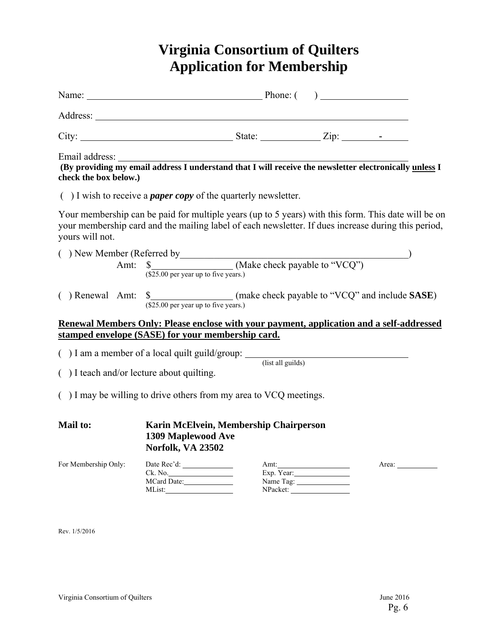## **Virginia Consortium of Quilters Application for Membership**

| check the box below.)                                                                                                                                                                                                         |                                                                                                    |  |                         |       |  |
|-------------------------------------------------------------------------------------------------------------------------------------------------------------------------------------------------------------------------------|----------------------------------------------------------------------------------------------------|--|-------------------------|-------|--|
|                                                                                                                                                                                                                               | $($ ) I wish to receive a <i>paper copy</i> of the quarterly newsletter.                           |  |                         |       |  |
| Your membership can be paid for multiple years (up to 5 years) with this form. This date will be on<br>your membership card and the mailing label of each newsletter. If dues increase during this period,<br>yours will not. |                                                                                                    |  |                         |       |  |
|                                                                                                                                                                                                                               | () New Member (Referred by $\frac{\text{Amt: } \S}{\text{Amt: } \S}$ (Make check payable to "VCQ") |  |                         |       |  |
|                                                                                                                                                                                                                               | $(\overline{$25.00}$) per year up to five years.)$                                                 |  |                         |       |  |
| <b>Renewal Members Only: Please enclose with your payment, application and a self-addressed</b><br>stamped envelope (SASE) for your membership card.                                                                          |                                                                                                    |  |                         |       |  |
|                                                                                                                                                                                                                               |                                                                                                    |  |                         |       |  |
| ( $)$ I am a member of a local quilt guild/group: $\frac{1}{\text{(list all guides)}}$<br>() I teach and/or lecture about quilting.                                                                                           |                                                                                                    |  |                         |       |  |
| $($ ) I may be willing to drive others from my area to VCQ meetings.                                                                                                                                                          |                                                                                                    |  |                         |       |  |
| <b>Mail to:</b>                                                                                                                                                                                                               | Karin McElvein, Membership Chairperson<br><b>1309 Maplewood Ave</b><br>Norfolk, VA 23502           |  |                         |       |  |
| For Membership Only:                                                                                                                                                                                                          | Ck. No.<br>MCard Date:                                                                             |  | Exp. Year:<br>Name Tag: | Area: |  |
| Rev. 1/5/2016                                                                                                                                                                                                                 |                                                                                                    |  |                         |       |  |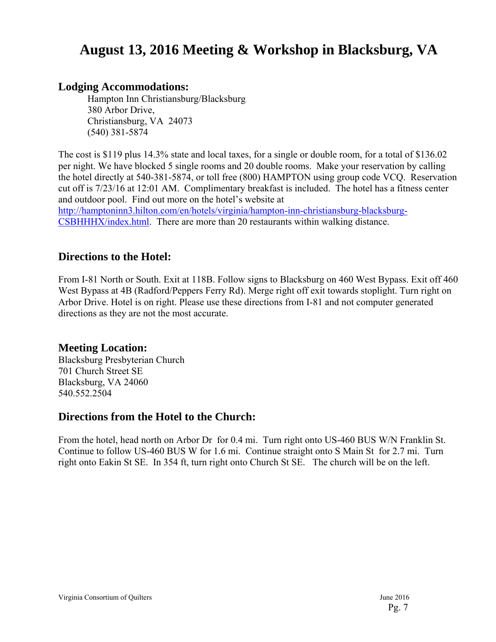## **August 13, 2016 Meeting & Workshop in Blacksburg, VA**

## **Lodging Accommodations:**

Hampton Inn Christiansburg/Blacksburg 380 Arbor Drive, Christiansburg, VA 24073 (540) 381-5874

The cost is \$119 plus 14.3% state and local taxes, for a single or double room, for a total of \$136.02 per night. We have blocked 5 single rooms and 20 double rooms. Make your reservation by calling the hotel directly at 540-381-5874, or toll free (800) HAMPTON using group code VCQ. Reservation cut off is 7/23/16 at 12:01 AM. Complimentary breakfast is included. The hotel has a fitness center and outdoor pool. Find out more on the hotel's website at

http://hamptoninn3.hilton.com/en/hotels/virginia/hampton-inn-christiansburg-blacksburg-CSBHHHX/index.html. There are more than 20 restaurants within walking distance.

## **Directions to the Hotel:**

From I-81 North or South. Exit at 118B. Follow signs to Blacksburg on 460 West Bypass. Exit off 460 West Bypass at 4B (Radford/Peppers Ferry Rd). Merge right off exit towards stoplight. Turn right on Arbor Drive. Hotel is on right. Please use these directions from I-81 and not computer generated directions as they are not the most accurate.

## **Meeting Location:**

Blacksburg Presbyterian Church 701 Church Street SE Blacksburg, VA 24060 540.552.2504

## **Directions from the Hotel to the Church:**

From the hotel, head north on Arbor Dr for 0.4 mi. Turn right onto US-460 BUS W/N Franklin St. Continue to follow US-460 BUS W for 1.6 mi. Continue straight onto S Main St for 2.7 mi. Turn right onto Eakin St SE. In 354 ft, turn right onto Church St SE. The church will be on the left.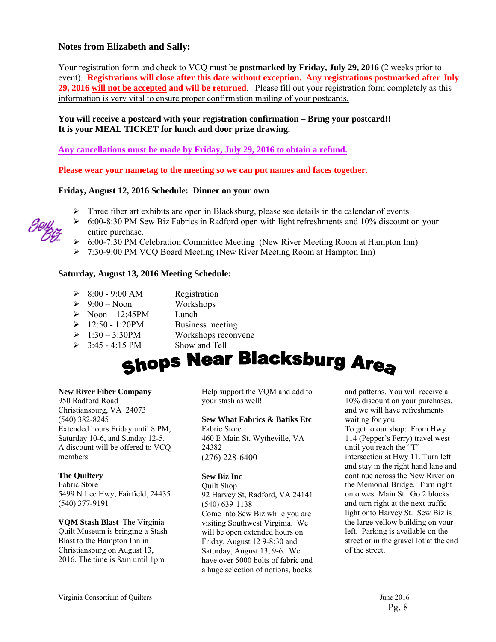### **Notes from Elizabeth and Sally:**

Your registration form and check to VCQ must be **postmarked by Friday, July 29, 2016** (2 weeks prior to event). **Registrations will close after this date without exception. Any registrations postmarked after July 29, 2016 will not be accepted and will be returned**. Please fill out your registration form completely as this information is very vital to ensure proper confirmation mailing of your postcards.

#### **You will receive a postcard with your registration confirmation – Bring your postcard!! It is your MEAL TICKET for lunch and door prize drawing.**

**Any cancellations must be made by Friday, July 29, 2016 to obtain a refund.** 

**Please wear your nametag to the meeting so we can put names and faces together.** 

#### **Friday, August 12, 2016 Schedule: Dinner on your own**

- $\triangleright$  Three fiber art exhibits are open in Blacksburg, please see details in the calendar of events.
- $\geq 6:00-8:30$  PM Sew Biz Fabrics in Radford open with light refreshments and 10% discount on your entire purchase.
- 6:00-7:30 PM Celebration Committee Meeting (New River Meeting Room at Hampton Inn)
- 7:30-9:00 PM VCQ Board Meeting (New River Meeting Room at Hampton Inn)

#### **Saturday, August 13, 2016 Meeting Schedule:**

- $\geq 8:00 9:00$  AM Registration
- $\geq 9:00$  Noon Workshops
- $\triangleright$  Noon 12:45PM Lunch
- $\geq 12:50 1:20PM$  Business meeting
- $\geq 1:30 3:30 \text{PM}$  Workshops reconvene
- 
- 
- 
- $\geq$  3:45 4:15 PM Show and Tell

# Shops Near Blacksburg Area

#### **New River Fiber Company**

950 Radford Road Christiansburg, VA 24073 (540) 382-8245 Extended hours Friday until 8 PM, Saturday 10-6, and Sunday 12-5. A discount will be offered to VCQ members.

#### **The Quiltery**

Fabric Store 5499 N Lee Hwy, Fairfield, 24435 (540) 377-9191

**VQM Stash Blast** The Virginia Quilt Museum is bringing a Stash Blast to the Hampton Inn in Christiansburg on August 13, 2016. The time is 8am until 1pm.

Help support the VQM and add to your stash as well!

#### **Sew What Fabrics & Batiks Etc**

Fabric Store 460 E Main St, Wytheville, VA 24382 (276) 228-6400

#### **Sew Biz Inc**

Quilt Shop 92 Harvey St, Radford, VA 24141 (540) 639-1138 Come into Sew Biz while you are visiting Southwest Virginia. We will be open extended hours on Friday, August 12 9-8:30 and Saturday, August 13, 9-6. We have over 5000 bolts of fabric and a huge selection of notions, books

and patterns. You will receive a 10% discount on your purchases, and we will have refreshments waiting for you. To get to our shop: From Hwy 114 (Pepper's Ferry) travel west until you reach the "T" intersection at Hwy 11. Turn left and stay in the right hand lane and continue across the New River on the Memorial Bridge. Turn right onto west Main St. Go 2 blocks and turn right at the next traffic light onto Harvey St. Sew Biz is the large yellow building on your left. Parking is available on the street or in the gravel lot at the end of the street.

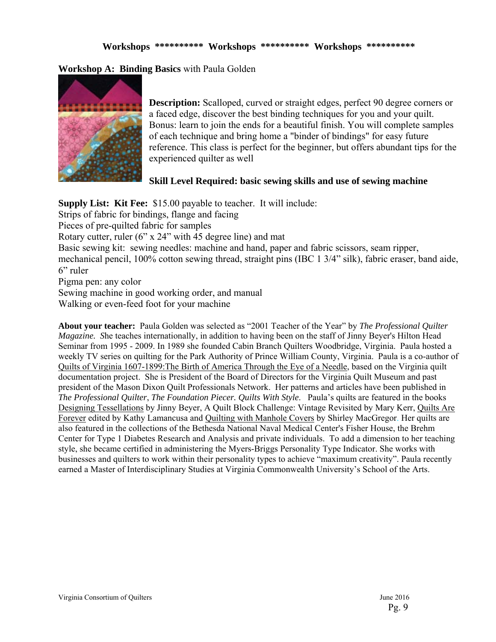**Workshop A: Binding Basics** with Paula Golden



**Description:** Scalloped, curved or straight edges, perfect 90 degree corners or a faced edge, discover the best binding techniques for you and your quilt. Bonus: learn to join the ends for a beautiful finish. You will complete samples of each technique and bring home a "binder of bindings" for easy future reference. This class is perfect for the beginner, but offers abundant tips for the experienced quilter as well

## **Skill Level Required: basic sewing skills and use of sewing machine**

**Supply List: Kit Fee:** \$15.00 payable to teacher. It will include: Strips of fabric for bindings, flange and facing Pieces of pre-quilted fabric for samples Rotary cutter, ruler (6" x 24" with 45 degree line) and mat Basic sewing kit: sewing needles: machine and hand, paper and fabric scissors, seam ripper, mechanical pencil, 100% cotton sewing thread, straight pins (IBC 1 3/4" silk), fabric eraser, band aide, 6" ruler Pigma pen: any color Sewing machine in good working order, and manual Walking or even-feed foot for your machine

**About your teacher:** Paula Golden was selected as "2001 Teacher of the Year" by *The Professional Quilter Magazine. S*he teaches internationally, in addition to having been on the staff of Jinny Beyer's Hilton Head Seminar from 1995 - 2009. In 1989 she founded Cabin Branch Quilters Woodbridge, Virginia. Paula hosted a weekly TV series on quilting for the Park Authority of Prince William County, Virginia. Paula is a co-author of Quilts of Virginia 1607-1899:The Birth of America Through the Eye of a Needle, based on the Virginia quilt documentation project. She is President of the Board of Directors for the Virginia Quilt Museum and past president of the Mason Dixon Quilt Professionals Network. Her patterns and articles have been published in *The Professional Quilter*, *The Foundation Piecer. Quilts With Style*. Paula's quilts are featured in the books Designing Tessellations by Jinny Beyer, A Quilt Block Challenge: Vintage Revisited by Mary Kerr, Quilts Are Forever edited by Kathy Lamancusa and Quilting with Manhole Covers by Shirley MacGregor. Her quilts are also featured in the collections of the Bethesda National Naval Medical Center's Fisher House, the Brehm Center for Type 1 Diabetes Research and Analysis and private individuals. To add a dimension to her teaching style, she became certified in administering the Myers-Briggs Personality Type Indicator. She works with businesses and quilters to work within their personality types to achieve "maximum creativity". Paula recently earned a Master of Interdisciplinary Studies at Virginia Commonwealth University's School of the Arts.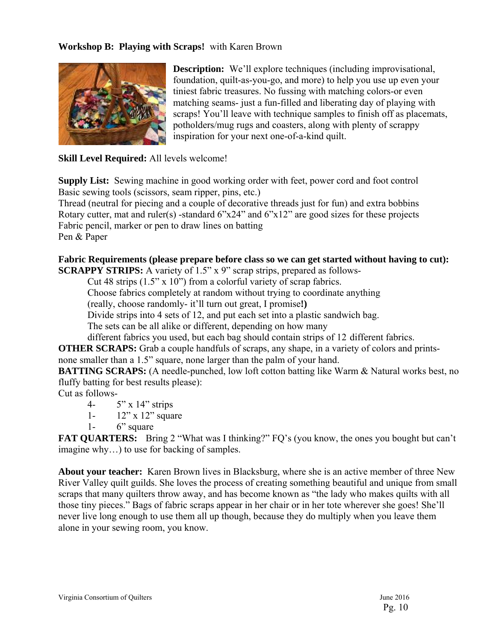## **Workshop B: Playing with Scraps!** with Karen Brown



**Description:** We'll explore techniques (including improvisational, foundation, quilt-as-you-go, and more) to help you use up even your tiniest fabric treasures. No fussing with matching colors-or even matching seams- just a fun-filled and liberating day of playing with scraps! You'll leave with technique samples to finish off as placemats, potholders/mug rugs and coasters, along with plenty of scrappy inspiration for your next one-of-a-kind quilt.

**Skill Level Required:** All levels welcome!

**Supply List:** Sewing machine in good working order with feet, power cord and foot control Basic sewing tools (scissors, seam ripper, pins, etc.)

Thread (neutral for piecing and a couple of decorative threads just for fun) and extra bobbins Rotary cutter, mat and ruler(s) -standard  $6"x24"$  and  $6"x12"$  are good sizes for these projects Fabric pencil, marker or pen to draw lines on batting Pen & Paper

### **Fabric Requirements (please prepare before class so we can get started without having to cut): SCRAPPY STRIPS:** A variety of 1.5" x 9" scrap strips, prepared as follows-

Cut 48 strips (1.5" x 10") from a colorful variety of scrap fabrics.

Choose fabrics completely at random without trying to coordinate anything

(really, choose randomly- it'll turn out great, I promise**!)** 

Divide strips into 4 sets of 12, and put each set into a plastic sandwich bag.

The sets can be all alike or different, depending on how many

different fabrics you used, but each bag should contain strips of 12 different fabrics.

**OTHER SCRAPS:** Grab a couple handfuls of scraps, any shape, in a variety of colors and printsnone smaller than a 1.5" square, none larger than the palm of your hand.

**BATTING SCRAPS:** (A needle-punched, low loft cotton batting like Warm & Natural works best, no fluffy batting for best results please):

Cut as follows-

- 4- 5" x 14" strips
- 1- 12" x 12" square
- 1- 6" square

**FAT QUARTERS:** Bring 2 "What was I thinking?" FQ's (you know, the ones you bought but can't imagine why…) to use for backing of samples.

**About your teacher:** Karen Brown lives in Blacksburg, where she is an active member of three New River Valley quilt guilds. She loves the process of creating something beautiful and unique from small scraps that many quilters throw away, and has become known as "the lady who makes quilts with all those tiny pieces." Bags of fabric scraps appear in her chair or in her tote wherever she goes! She'll never live long enough to use them all up though, because they do multiply when you leave them alone in your sewing room, you know.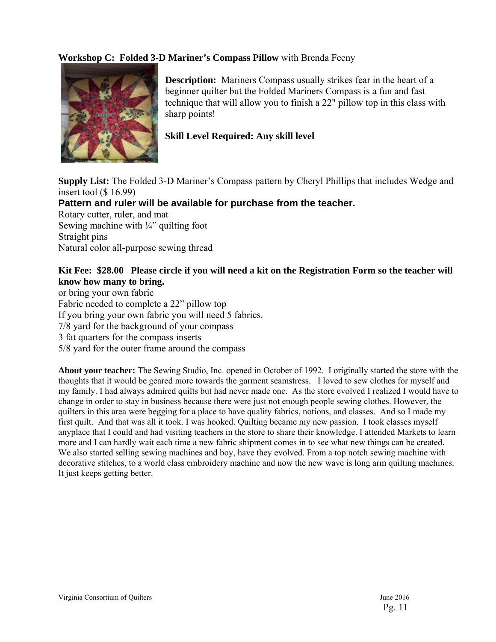## **Workshop C: Folded 3-D Mariner's Compass Pillow** with Brenda Feeny



**Description:** Mariners Compass usually strikes fear in the heart of a beginner quilter but the Folded Mariners Compass is a fun and fast technique that will allow you to finish a 22" pillow top in this class with sharp points!

## **Skill Level Required: Any skill level**

**Supply List:** The Folded 3-D Mariner's Compass pattern by Cheryl Phillips that includes Wedge and insert tool (\$ 16.99)

## **Pattern and ruler will be available for purchase from the teacher.**

Rotary cutter, ruler, and mat Sewing machine with  $\frac{1}{4}$  quilting foot Straight pins Natural color all-purpose sewing thread

## **Kit Fee: \$28.00 Please circle if you will need a kit on the Registration Form so the teacher will know how many to bring.**

or bring your own fabric Fabric needed to complete a 22" pillow top If you bring your own fabric you will need 5 fabrics. 7/8 yard for the background of your compass 3 fat quarters for the compass inserts 5/8 yard for the outer frame around the compass

**About your teacher:** The Sewing Studio, Inc. opened in October of 1992. I originally started the store with the thoughts that it would be geared more towards the garment seamstress. I loved to sew clothes for myself and my family. I had always admired quilts but had never made one. As the store evolved I realized I would have to change in order to stay in business because there were just not enough people sewing clothes. However, the quilters in this area were begging for a place to have quality fabrics, notions, and classes. And so I made my first quilt. And that was all it took. I was hooked. Quilting became my new passion. I took classes myself anyplace that I could and had visiting teachers in the store to share their knowledge. I attended Markets to learn more and I can hardly wait each time a new fabric shipment comes in to see what new things can be created. We also started selling sewing machines and boy, have they evolved. From a top notch sewing machine with decorative stitches, to a world class embroidery machine and now the new wave is long arm quilting machines. It just keeps getting better.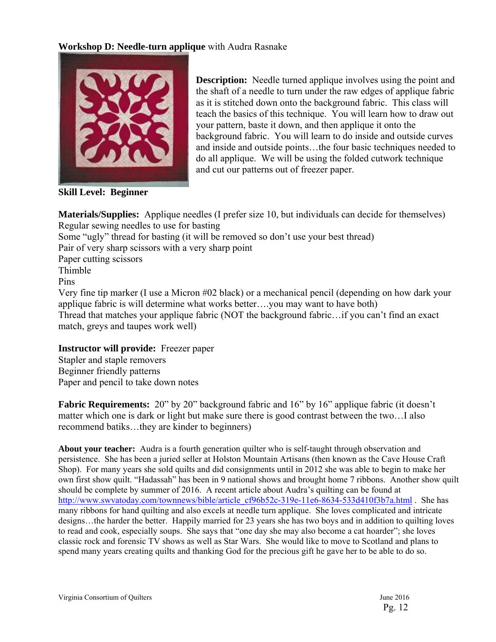## **Workshop D: Needle-turn applique** with Audra Rasnake



**Description:** Needle turned applique involves using the point and the shaft of a needle to turn under the raw edges of applique fabric as it is stitched down onto the background fabric. This class will teach the basics of this technique. You will learn how to draw out your pattern, baste it down, and then applique it onto the background fabric. You will learn to do inside and outside curves and inside and outside points…the four basic techniques needed to do all applique. We will be using the folded cutwork technique and cut our patterns out of freezer paper.

**Skill Level: Beginner**

**Materials/Supplies:** Applique needles (I prefer size 10, but individuals can decide for themselves) Regular sewing needles to use for basting Some "ugly" thread for basting (it will be removed so don't use your best thread) Pair of very sharp scissors with a very sharp point Paper cutting scissors Thimble Pins Very fine tip marker (I use a Micron #02 black) or a mechanical pencil (depending on how dark your applique fabric is will determine what works better….you may want to have both) Thread that matches your applique fabric (NOT the background fabric…if you can't find an exact match, greys and taupes work well)

## **Instructor will provide:** Freezer paper Stapler and staple removers Beginner friendly patterns Paper and pencil to take down notes

**Fabric Requirements:** 20" by 20" background fabric and 16" by 16" applique fabric (it doesn't matter which one is dark or light but make sure there is good contrast between the two…I also recommend batiks…they are kinder to beginners)

**About your teacher:** Audra is a fourth generation quilter who is self-taught through observation and persistence. She has been a juried seller at Holston Mountain Artisans (then known as the Cave House Craft Shop). For many years she sold quilts and did consignments until in 2012 she was able to begin to make her own first show quilt. "Hadassah" has been in 9 national shows and brought home 7 ribbons. Another show quilt should be complete by summer of 2016. A recent article about Audra's quilting can be found at http://www.swvatoday.com/townnews/bible/article\_cf96b52c-319e-11e6-8634-533d410f3b7a.html . She has many ribbons for hand quilting and also excels at needle turn applique. She loves complicated and intricate designs…the harder the better. Happily married for 23 years she has two boys and in addition to quilting loves to read and cook, especially soups. She says that "one day she may also become a cat hoarder"; she loves classic rock and forensic TV shows as well as Star Wars. She would like to move to Scotland and plans to spend many years creating quilts and thanking God for the precious gift he gave her to be able to do so.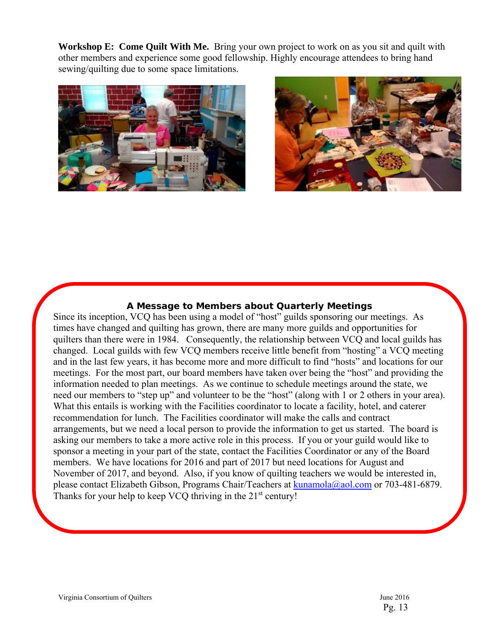**Workshop E: Come Quilt With Me.** Bring your own project to work on as you sit and quilt with other members and experience some good fellowship. Highly encourage attendees to bring hand sewing/quilting due to some space limitations.





## **A Message to Members about Quarterly Meetings**

 Since its inception, VCQ has been using a model of "host" guilds sponsoring our meetings. As times have changed and quilting has grown, there are many more guilds and opportunities for quilters than there were in 1984. Consequently, the relationship between VCQ and local guilds has changed. Local guilds with few VCQ members receive little benefit from "hosting" a VCQ meeting and in the last few years, it has become more and more difficult to find "hosts" and locations for our meetings. For the most part, our board members have taken over being the "host" and providing the information needed to plan meetings. As we continue to schedule meetings around the state, we need our members to "step up" and volunteer to be the "host" (along with 1 or 2 others in your area). What this entails is working with the Facilities coordinator to locate a facility, hotel, and caterer recommendation for lunch. The Facilities coordinator will make the calls and contract arrangements, but we need a local person to provide the information to get us started. The board is asking our members to take a more active role in this process. If you or your guild would like to sponsor a meeting in your part of the state, contact the Facilities Coordinator or any of the Board members. We have locations for 2016 and part of 2017 but need locations for August and November of 2017, and beyond. Also, if you know of quilting teachers we would be interested in, please contact Elizabeth Gibson, Programs Chair/Teachers at kunamola@aol.com or 703-481-6879. Thanks for your help to keep VCQ thriving in the 21<sup>st</sup> century!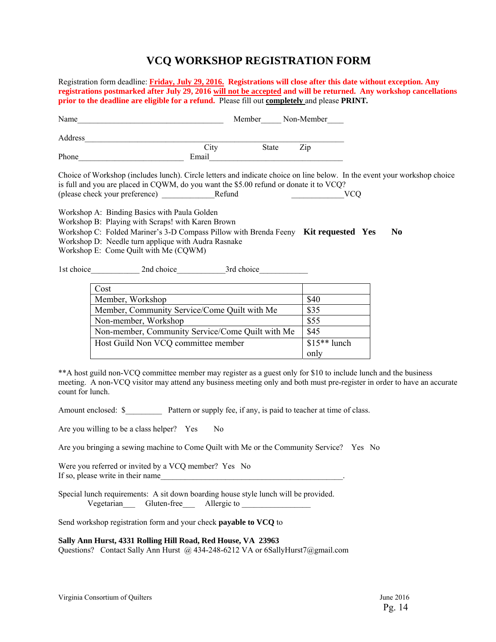## **VCQ WORKSHOP REGISTRATION FORM**

Registration form deadline: **Friday, July 29, 2016.****Registrations will close after this date without exception. Any registrations postmarked after July 29, 2016 will not be accepted and will be returned. Any workshop cancellations prior to the deadline are eligible for a refund.** Please fill out **completely** and please **PRINT***.* 

| Name    |       | Member       | Non-Member |
|---------|-------|--------------|------------|
| Address |       |              |            |
|         | City  | <b>State</b> | Zip        |
| Phone   | Email |              |            |

Choice of Workshop (includes lunch). Circle letters and indicate choice on line below. In the event your workshop choice is full and you are placed in CQWM, do you want the \$5.00 refund or donate it to VCQ? (please check your preference) \_\_\_\_\_\_\_\_\_\_\_\_\_Refund \_\_\_\_\_\_\_\_\_\_\_\_\_VCQ

Workshop A: Binding Basics with Paula Golden

Workshop B: Playing with Scraps! with Karen Brown

Workshop C: Folded Mariner's 3-D Compass Pillow with Brenda Feeny **Kit requested Yes No** 

Workshop D: Needle turn applique with Audra Rasnake

Workshop E: Come Quilt with Me (CQWM)

1st choice 2nd choice 3rd choice

| Cost                                             |               |
|--------------------------------------------------|---------------|
| Member, Workshop                                 | \$40          |
| Member, Community Service/Come Quilt with Me     | \$35          |
| Non-member, Workshop                             | \$55          |
| Non-member, Community Service/Come Quilt with Me | \$45          |
| Host Guild Non VCQ committee member              | $$15**$ lunch |
|                                                  | only          |

\*\*A host guild non-VCQ committee member may register as a guest only for \$10 to include lunch and the business meeting. A non-VCQ visitor may attend any business meeting only and both must pre-register in order to have an accurate count for lunch.

Amount enclosed: \$ Pattern or supply fee, if any, is paid to teacher at time of class.

Are you willing to be a class helper? Yes No

Are you bringing a sewing machine to Come Quilt with Me or the Community Service? Yes No

Were you referred or invited by a VCQ member? Yes No If so, please write in their name

Special lunch requirements: A sit down boarding house style lunch will be provided. Vegetarian Gluten-free Allergic to

Send workshop registration form and your check **payable to VCQ** to

#### **Sally Ann Hurst, 4331 Rolling Hill Road, Red House, VA 23963**

Questions? Contact Sally Ann Hurst @ 434-248-6212 VA or 6SallyHurst7@gmail.com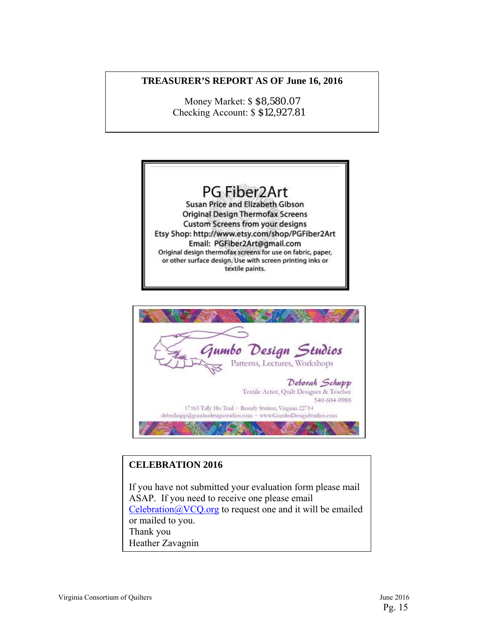## **TREASURER'S REPORT AS OF June 16, 2016**

Money Market: \$ \$8,580.07 Checking Account: \$ \$12,927.81





## **CELEBRATION 2016**

If you have not submitted your evaluation form please mail ASAP. If you need to receive one please email  $Celebration@VCO.org$  to request one and it will be emailed or mailed to you. Thank you Heather Zavagnin